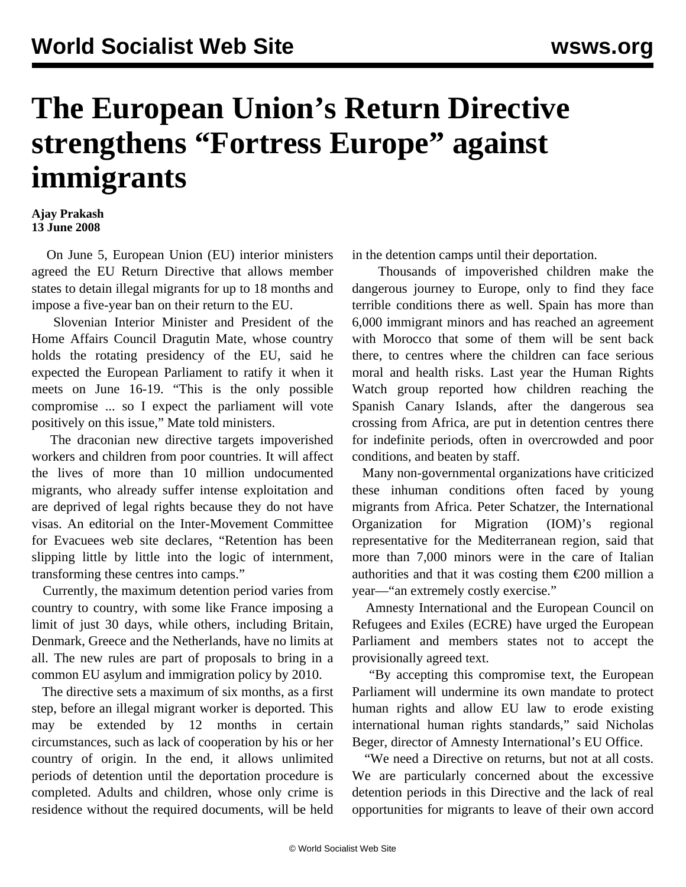## **The European Union's Return Directive strengthens "Fortress Europe" against immigrants**

## **Ajay Prakash 13 June 2008**

 On June 5, European Union (EU) interior ministers agreed the EU Return Directive that allows member states to detain illegal migrants for up to 18 months and impose a five-year ban on their return to the EU.

 Slovenian Interior Minister and President of the Home Affairs Council Dragutin Mate, whose country holds the rotating presidency of the EU, said he expected the European Parliament to ratify it when it meets on June 16-19. "This is the only possible compromise ... so I expect the parliament will vote positively on this issue," Mate told ministers.

 The draconian new directive targets impoverished workers and children from poor countries. It will affect the lives of more than 10 million undocumented migrants, who already suffer intense exploitation and are deprived of legal rights because they do not have visas. An editorial on the Inter-Movement Committee for Evacuees web site declares, "Retention has been slipping little by little into the logic of internment, transforming these centres into camps."

 Currently, the maximum detention period varies from country to country, with some like France imposing a limit of just 30 days, while others, including Britain, Denmark, Greece and the Netherlands, have no limits at all. The new rules are part of proposals to bring in a common EU asylum and immigration policy by 2010.

 The directive sets a maximum of six months, as a first step, before an illegal migrant worker is deported. This may be extended by 12 months in certain circumstances, such as lack of cooperation by his or her country of origin. In the end, it allows unlimited periods of detention until the deportation procedure is completed. Adults and children, whose only crime is residence without the required documents, will be held

in the detention camps until their deportation.

 Thousands of impoverished children make the dangerous journey to Europe, only to find they face terrible conditions there as well. Spain has more than 6,000 immigrant minors and has reached an agreement with Morocco that some of them will be sent back there, to centres where the children can face serious moral and health risks. Last year the Human Rights Watch group reported how children reaching the Spanish Canary Islands, after the dangerous sea crossing from Africa, are put in detention centres there for indefinite periods, often in overcrowded and poor conditions, and beaten by staff.

 Many non-governmental organizations have criticized these inhuman conditions often faced by young migrants from Africa. Peter Schatzer, the International Organization for Migration (IOM)'s regional representative for the Mediterranean region, said that more than 7,000 minors were in the care of Italian authorities and that it was costing them  $\epsilon$ 200 million a year—"an extremely costly exercise."

 Amnesty International and the European Council on Refugees and Exiles (ECRE) have urged the European Parliament and members states not to accept the provisionally agreed text.

 "By accepting this compromise text, the European Parliament will undermine its own mandate to protect human rights and allow EU law to erode existing international human rights standards," said Nicholas Beger, director of Amnesty International's EU Office.

 "We need a Directive on returns, but not at all costs. We are particularly concerned about the excessive detention periods in this Directive and the lack of real opportunities for migrants to leave of their own accord